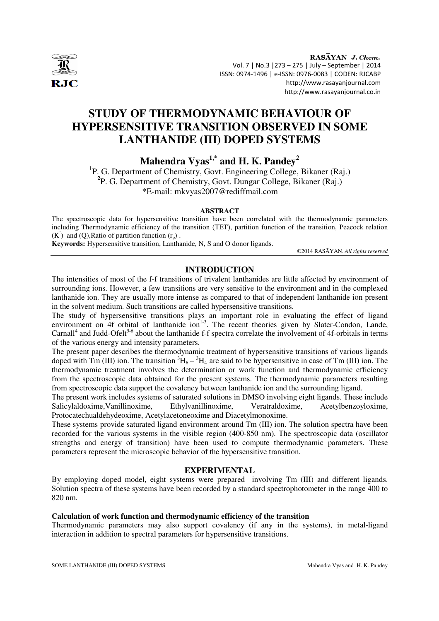

RASAYAN J. Chem. Vol. 7 | No.3 |273 – 275 | July – September | 2014 ISSN: 0974-1496 | e-ISSN: 0976-0083 | CODEN: RJCABP http://www.rasayanjournal.com http://www.rasayanjournal.co.in

# **STUDY OF THERMODYNAMIC BEHAVIOUR OF HYPERSENSITIVE TRANSITION OBSERVED IN SOME LANTHANIDE (III) DOPED SYSTEMS**

**Mahendra Vyas1,\* and H. K. Pandey<sup>2</sup>** 

<sup>1</sup>P. G. Department of Chemistry, Govt. Engineering College, Bikaner (Raj.) **2** P. G. Department of Chemistry, Govt. Dungar College, Bikaner (Raj.) \*E-mail: mkvyas2007@rediffmail.com

#### **ABSTRACT**

The spectroscopic data for hypersensitive transition have been correlated with the thermodynamic parameters including Thermodynamic efficiency of the transition (TET), partition function of the transition, Peacock relation  $(K')$  and  $(Q)$ , Ratio of partition function  $(r_p)$ .

**Keywords:** Hypersensitive transition, Lanthanide, N, S and O donor ligands.

©2014 RASĀYAN. *All rights reserved*

### **INTRODUCTION**

The intensities of most of the f-f transitions of trivalent lanthanides are little affected by environment of surrounding ions. However, a few transitions are very sensitive to the environment and in the complexed lanthanide ion. They are usually more intense as compared to that of independent lanthanide ion present in the solvent medium. Such transitions are called hypersensitive transitions.

The study of hypersensitive transitions plays an important role in evaluating the effect of ligand environment on 4f orbital of lanthanide  $\overline{ion}^{1-3}$ . The recent theories given by Slater-Condon, Lande, Carnall<sup>4</sup> and Judd-Ofelt<sup>5-6</sup> about the lanthanide f-f spectra correlate the involvement of 4f-orbitals in terms of the various energy and intensity parameters.

The present paper describes the thermodynamic treatment of hypersensitive transitions of various ligands doped with  $\text{Im}$  (III) ion. The transition  ${}^{3}\text{H}_{6} - {}^{3}\text{H}_{4}$  are said to be hypersensitive in case of Tm (III) ion. The thermodynamic treatment involves the determination or work function and thermodynamic efficiency from the spectroscopic data obtained for the present systems. The thermodynamic parameters resulting from spectroscopic data support the covalency between lanthanide ion and the surrounding ligand.

The present work includes systems of saturated solutions in DMSO involving eight ligands. These include Salicylaldoxime,Vanillinoxime, Ethylvanillinoxime, Veratraldoxime, Acetylbenzoyloxime, Protocatechualdehydeoxime, Acetylacetoneoxime and Diacetylmonoxime.

These systems provide saturated ligand environment around Tm (III) ion. The solution spectra have been recorded for the various systems in the visible region (400-850 nm). The spectroscopic data (oscillator strengths and energy of transition) have been used to compute thermodynamic parameters. These parameters represent the microscopic behavior of the hypersensitive transition.

### **EXPERIMENTAL**

By employing doped model, eight systems were prepared involving Tm (III) and different ligands. Solution spectra of these systems have been recorded by a standard spectrophotometer in the range 400 to 820 nm.

### **Calculation of work function and thermodynamic efficiency of the transition**

Thermodynamic parameters may also support covalency (if any in the systems), in metal-ligand interaction in addition to spectral parameters for hypersensitive transitions.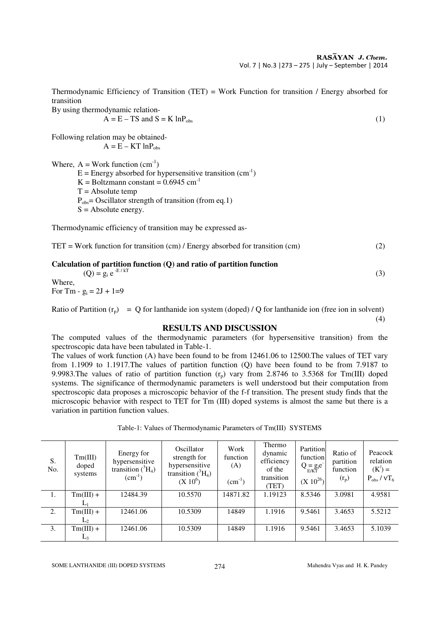Thermodynamic Efficiency of Transition (TET) = Work Function for transition / Energy absorbed for transition

By using thermodynamic relation-

$$
A = E - TS \text{ and } S = K \ln P_{obs}
$$
 (1)

Following relation may be obtained-

$$
A = E - KT ln P_{obs}
$$

Where,  $A = Work function (cm<sup>-1</sup>)$ 

 $E =$  Energy absorbed for hypersensitive transition (cm<sup>-1</sup>)

K = Boltzmann constant =  $0.6945$  cm<sup>-1</sup>

 $T =$ Absolute temp

 $P_{obs}$ = Oscillator strength of transition (from eq.1)

 $S =$  Absolute energy.

Thermodynamic efficiency of transition may be expressed as-

| $TET = Work$ function for transition (cm) / Energy absorbed for transition (cm) | (2) |
|---------------------------------------------------------------------------------|-----|
|---------------------------------------------------------------------------------|-----|

| Calculation of partition function $(Q)$ and ratio of partition function |  |
|-------------------------------------------------------------------------|--|
| $(Q) = g_i e^{-E/kT}$                                                   |  |
| Where,                                                                  |  |

For Tm -  $g_i = 2J + 1=9$ 

Ratio of Partition  $(r_p) = Q$  for lanthanide ion system (doped) / Q for lanthanide ion (free ion in solvent) (4)

## **RESULTS AND DISCUSSION**

The computed values of the thermodynamic parameters (for hypersensitive transition) from the spectroscopic data have been tabulated in Table-1.

The values of work function (A) have been found to be from 12461.06 to 12500.The values of TET vary from 1.1909 to 1.1917.The values of partition function (Q) have been found to be from 7.9187 to 9.9983. The values of ratio of partition function  $(r_p)$  vary from 2.8746 to 3.5368 for Tm(III) doped systems. The significance of thermodynamic parameters is well understood but their computation from spectroscopic data proposes a microscopic behavior of the f-f transition. The present study finds that the microscopic behavior with respect to TET for Tm (III) doped systems is almost the same but there is a variation in partition function values.

|  |  |  | Table-1: Values of Thermodynamic Parameters of Tm(III) SYSTEMS |
|--|--|--|----------------------------------------------------------------|
|--|--|--|----------------------------------------------------------------|

| S.<br>No. | Tm(III)<br>doped<br>systems | Energy for<br>hypersensitive<br>transition $(^3H_4)$<br>$(cm^{-1})$ | Oscillator<br>strength for<br>hypersensitive<br>transition $(^3H_4)$<br>$(X 10^6)$ | Work<br>function<br>(A)<br>$(cm^{-1})$ | Thermo<br>dynamic<br>efficiency<br>of the<br>transition<br>(TET) | Partition<br>function<br>$Q = g_i e^T$<br>$(X 10^{26})$ | Ratio of<br>partition<br>function<br>$(r_p)$ | Peacock<br>relation<br>$(K') =$<br>$P_{obs} / \nu T_6$ |
|-----------|-----------------------------|---------------------------------------------------------------------|------------------------------------------------------------------------------------|----------------------------------------|------------------------------------------------------------------|---------------------------------------------------------|----------------------------------------------|--------------------------------------------------------|
| 1.        | $Tm(III) +$                 | 12484.39                                                            | 10.5570                                                                            | 14871.82                               | 1.19123                                                          | 8.5346                                                  | 3.0981                                       | 4.9581                                                 |
|           |                             |                                                                     |                                                                                    |                                        |                                                                  |                                                         |                                              |                                                        |
| 2.        | $Tm(III) +$                 | 12461.06                                                            | 10.5309                                                                            | 14849                                  | 1.1916                                                           | 9.5461                                                  | 3.4653                                       | 5.5212                                                 |
|           | $\mathbf{L}$                |                                                                     |                                                                                    |                                        |                                                                  |                                                         |                                              |                                                        |
| 3.        | $Tm(III) +$                 | 12461.06                                                            | 10.5309                                                                            | 14849                                  | 1.1916                                                           | 9.5461                                                  | 3.4653                                       | 5.1039                                                 |
|           | Lλ                          |                                                                     |                                                                                    |                                        |                                                                  |                                                         |                                              |                                                        |

SOME LANTHANIDE (III) DOPED SYSTEMS 274 Mahendra Vyas and H. K. Pandey